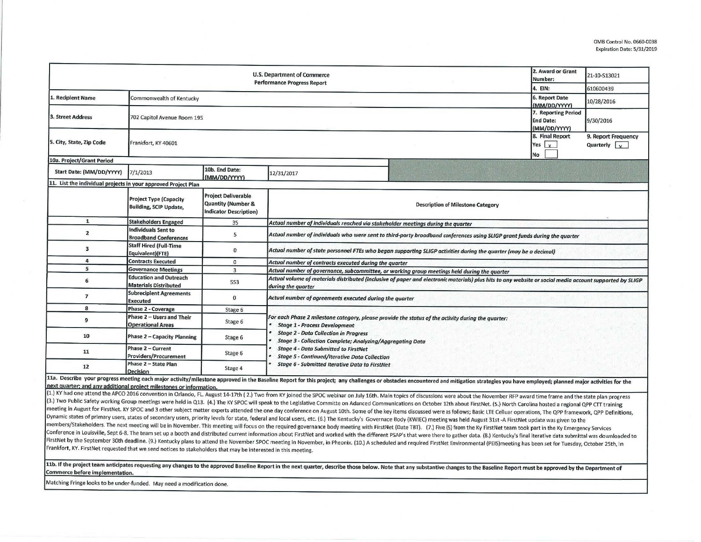|                                                                | 2. Award or Grant<br>Number:                                   | 21-10-S13021                                                                                 |                                                                                                                                                                                                                                                         |           |                                             |  |  |  |  |
|----------------------------------------------------------------|----------------------------------------------------------------|----------------------------------------------------------------------------------------------|---------------------------------------------------------------------------------------------------------------------------------------------------------------------------------------------------------------------------------------------------------|-----------|---------------------------------------------|--|--|--|--|
|                                                                |                                                                | <b>Performance Progress Report</b>                                                           | 4. EIN:                                                                                                                                                                                                                                                 | 610600439 |                                             |  |  |  |  |
| 1. Recipient Name                                              | Commonwealth of Kentucky                                       | 6. Report Date<br>(MM/DD/YYYY)                                                               | 10/28/2016                                                                                                                                                                                                                                              |           |                                             |  |  |  |  |
| 3. Street Address                                              | 702 Capitol Avenue Room 195                                    | 7. Reporting Period<br><b>End Date:</b><br>(MM/DD/YYYY)                                      | 9/30/2016                                                                                                                                                                                                                                               |           |                                             |  |  |  |  |
| 5. City, State, Zip Code                                       | Frankfort, KY 40601                                            |                                                                                              |                                                                                                                                                                                                                                                         |           | 9. Report Frequency<br>Quarterly $\sqrt{x}$ |  |  |  |  |
| 10a. Project/Grant Period                                      |                                                                |                                                                                              |                                                                                                                                                                                                                                                         | No        |                                             |  |  |  |  |
| Start Date: (MM/DD/YYYY)                                       | 7/1/2013                                                       | 10b. End Date:<br>(MM/DD/YYYY)                                                               | 12/31/2017                                                                                                                                                                                                                                              |           |                                             |  |  |  |  |
| 11. List the individual projects in your approved Project Plan |                                                                |                                                                                              |                                                                                                                                                                                                                                                         |           |                                             |  |  |  |  |
|                                                                | <b>Project Type (Capacity</b><br><b>Building, SCIP Update,</b> | <b>Project Deliverable</b><br><b>Quantity (Number &amp;</b><br><b>Indicator Description)</b> | <b>Description of Milestone Category</b>                                                                                                                                                                                                                |           |                                             |  |  |  |  |
| $\mathbf{1}$                                                   | <b>Stakeholders Engaged</b>                                    | 35                                                                                           | Actual number of individuals reached via stakeholder meetings during the quarter                                                                                                                                                                        |           |                                             |  |  |  |  |
| $\overline{2}$                                                 | Individuals Sent to<br><b>Broadband Conferences</b>            | 5                                                                                            | Actual number of individuals who were sent to third-party broadband conferences using SLIGP grant funds during the quarter                                                                                                                              |           |                                             |  |  |  |  |
| $\mathbf{3}$                                                   | <b>Staff Hired (Full-Time</b><br>Equivalent)(FTE)              | $\mathbf{0}$                                                                                 | Actual number of state personnel FTEs who began supporting SLIGP activities during the quarter (may be a decimal)                                                                                                                                       |           |                                             |  |  |  |  |
| 4                                                              | <b>Contracts Executed</b>                                      | $\mathbf{0}$                                                                                 | Actual number of contracts executed during the quarter                                                                                                                                                                                                  |           |                                             |  |  |  |  |
| 5                                                              | <b>Governance Meetings</b>                                     | 3                                                                                            | Actual number of governance, subcommittee, or working group meetings held during the quarter                                                                                                                                                            |           |                                             |  |  |  |  |
| 6                                                              | <b>Education and Outreach</b><br><b>Materials Distributed</b>  | 553                                                                                          | Actual volume of materials distributed (inclusive of paper and electronic materials) plus hits to any website or social media account supported by SLIGP<br>during the quarter                                                                          |           |                                             |  |  |  |  |
| $\overline{7}$                                                 | <b>Subrecipient Agreements</b><br><b>Executed</b>              | $\mathbf{0}$                                                                                 | Actual number of agreements executed during the quarter                                                                                                                                                                                                 |           |                                             |  |  |  |  |
| 8                                                              | Phase 2 - Coverage                                             | Stage 6                                                                                      |                                                                                                                                                                                                                                                         |           |                                             |  |  |  |  |
| 9                                                              | Phase 2 - Users and Their<br><b>Operational Areas</b>          | Stage 6                                                                                      | For each Phase 2 milestone category, please provide the status of the activity during the quarter:<br><b>Stage 1 - Process Development</b><br><b>Stage 2 - Data Collection in Progress</b><br>Stage 3 - Collection Complete; Analyzing/Aggregating Data |           |                                             |  |  |  |  |
| 10                                                             | Phase 2 - Capacity Planning                                    | Stage 6                                                                                      |                                                                                                                                                                                                                                                         |           |                                             |  |  |  |  |
| 11                                                             | Phase 2 - Current<br>Providers/Procurement                     | Stage 6                                                                                      | <b>Stage 4 - Data Submitted to FirstNet</b><br><b>Stage 5 - Continued/Iterative Data Collection</b>                                                                                                                                                     |           |                                             |  |  |  |  |
| 12                                                             | Phase 2 - State Plan<br>Decision                               | Stage 4                                                                                      | <b>Stage 6 - Submitted Iterative Data to FirstNet</b>                                                                                                                                                                                                   |           |                                             |  |  |  |  |

11a. Describe your progress meeting each major activity/milestone approved in the Baseline Report for this project; any challenges or obstacles encountered and mitigation strategies you have employed; planned major activit

(1.) KY had one attend the APCO 2016 convention in Orlando, FL. August 14-17th (2.) Two from KY joined the SPOC webinar on July 16th. Main topics of discussions were about the November RFP award time frame and the state pl (3.) Two Public Safety working Group meetings were held in Q13. (4.) The KY SPOC will speak to the Legislative Committe on Adanced Communications on October 12th about FirstNet. (5.) North Carolina hosted a regional QPP CT meeting in August for FirstNet. KY SPOC and 3 other subject matter experts attended the one day conference on August 10th. Some of the key items discussed were as follows; Basic LTE Celluar operations, The QPP framework, Q Dynamic states of primary users, states of secondary users, priority levels for state, federal and local users, etc. (6.) The Kentucky's Governace Body (KWIEC) meeting was held August 31st -A FirstNet update was given to t members/Stakeholders. The next meeting will be in November. This meeting will focus on the required governance body meeting with FirstNet (Date TBT). (7.) Five (5) from the Ky FirstNet team took part in the Ky Emergency Se Conference in Louisville, Sept 6-8. The team set up a booth and distributed current information about FirstNet and worked with the different PSAP's that were there to gather data. (8.) Kentucky's final iterative data submi FirstNet by the September 30th deadline. (9.) Kentucky plans to attend the November SPOC meeting in November, in Pheonix. (10.) A scheduled and required FirstNet Environmental (PEIS)meeting has been set for Tuesday, Octobe Frankfort, KY. First Net requested that we send notices to stakeholders that may be interested in this meeting.

11b. If the project team anticipates requesting any changes to the approved Baseline Report in the next quarter, describe those below. Note that any substantive changes to the Baseline Report must be approved by the Depart **Commerce before imolementation.** 

Matching Fringe looks to be under-funded. May need a modification done.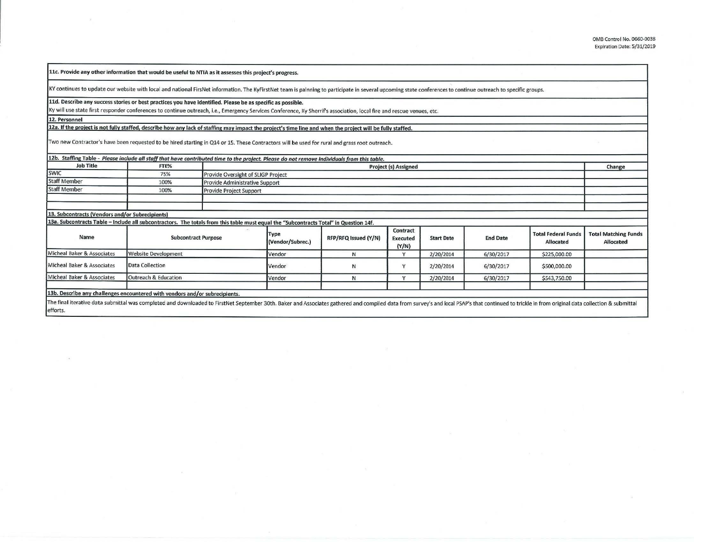**llc. Provide any other information that would be useful to NTIA as it assesses this project's progress.** 

KY continues to update our website with local and national FirsNet information. The KyFirstNet team is palnning to participate in several upcoming state conferences to continue outreach to specific groups.

**lld. Describe any success stories or best practices you have Identified. Please** be as specific **as possible.** 

Ky will use state first responder conferences to continue outreach, i.e., Emergency Services Conference, Ky Sherrif's association, local fire and rescue venues, etc.

**12. Personnel** 

12a. If the project is not fully staffed, describe how any lack of staffing may impact the project's time line and when the project will be fully staffed.

Two new Contractor's have been requested to be hired starting in Q14 or 15. These Contractors will be used for rural and grass root outreach.

| <b>Job Title</b>                                                                                                                      | FTE%                       |  | 12b. Staffing Table - Please include all staff that have contributed time to the project. Please do not remove individuals from this table.<br>Project (s) Assigned |                      |                                             |                   |                 |                                                |                                          |
|---------------------------------------------------------------------------------------------------------------------------------------|----------------------------|--|---------------------------------------------------------------------------------------------------------------------------------------------------------------------|----------------------|---------------------------------------------|-------------------|-----------------|------------------------------------------------|------------------------------------------|
| <b>SWIC</b>                                                                                                                           | 75%                        |  | Provide Oversight of SLIGP Project                                                                                                                                  |                      |                                             |                   |                 |                                                |                                          |
| <b>Staff Member</b>                                                                                                                   | 100%                       |  | Provide Administrative Support                                                                                                                                      |                      |                                             |                   |                 |                                                |                                          |
| <b>Staff Member</b>                                                                                                                   | 100%                       |  | Provide Project Support                                                                                                                                             |                      |                                             |                   |                 |                                                |                                          |
|                                                                                                                                       |                            |  |                                                                                                                                                                     |                      |                                             |                   |                 |                                                |                                          |
| 13. Subcontracts (Vendors and/or Subrecipients)                                                                                       |                            |  |                                                                                                                                                                     |                      |                                             |                   |                 |                                                |                                          |
| 13a. Subcontracts Table - Include all subcontractors. The totals from this table must equal the "Subcontracts Total" in Question 14f. |                            |  |                                                                                                                                                                     |                      |                                             |                   |                 |                                                |                                          |
| Name                                                                                                                                  | <b>Subcontract Purpose</b> |  | Type<br>(Vendor/Subrec.)                                                                                                                                            | RFP/RFQ Issued (Y/N) | <b>Contract</b><br><b>Executed</b><br>(Y/N) | <b>Start Date</b> | <b>End Date</b> | <b>Total Federal Funds</b><br><b>Allocated</b> | <b>Total Matching Funds</b><br>Allocated |
| Micheal Baker & Associates                                                                                                            | <b>Website Development</b> |  | Vendor                                                                                                                                                              | N                    | $\overline{ }$                              | 2/20/2014         | 6/30/2017       | \$225,000.00                                   |                                          |
| Micheal Baker & Associates                                                                                                            | Data Collection            |  | Vendor                                                                                                                                                              | N                    |                                             | 2/20/2014         | 6/30/2017       | \$500,000.00                                   |                                          |
| Micheal Baker & Associates                                                                                                            | Outreach & Education       |  | Vendor                                                                                                                                                              | N                    |                                             | 2/20/2014         | 6/30/2017       | \$543,750.00                                   |                                          |
|                                                                                                                                       |                            |  |                                                                                                                                                                     |                      |                                             |                   |                 |                                                |                                          |